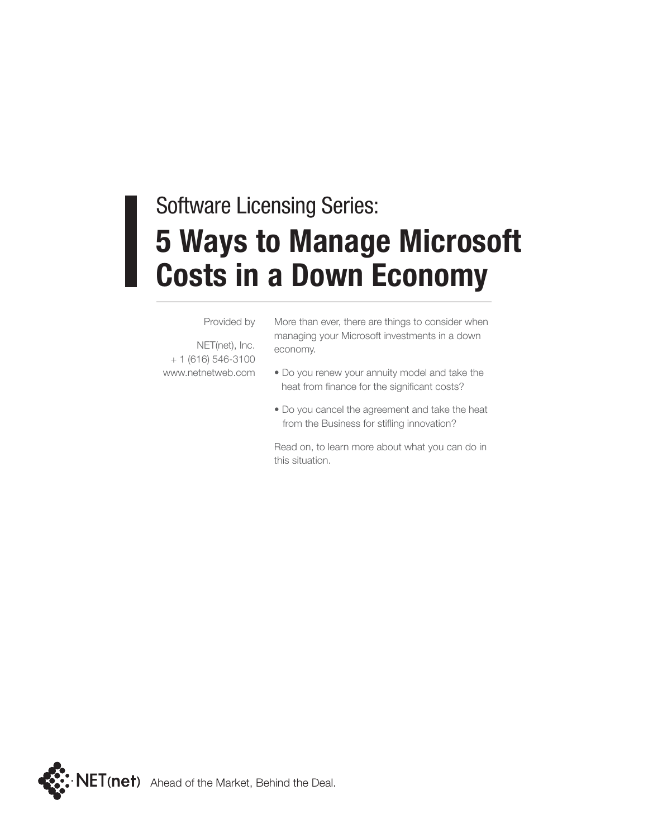#### **5 Ways to Manage Microsoft Costs in a Down Economy** Software Licensing Series:

#### Provided by

NET(net), Inc. + 1 (616) 546-3100 www.netnetweb.com More than ever, there are things to consider when managing your Microsoft investments in a down economy.

- Do you renew your annuity model and take the heat from finance for the significant costs?
- Do you cancel the agreement and take the heat from the Business for stifling innovation?

Read on, to learn more about what you can do in this situation.

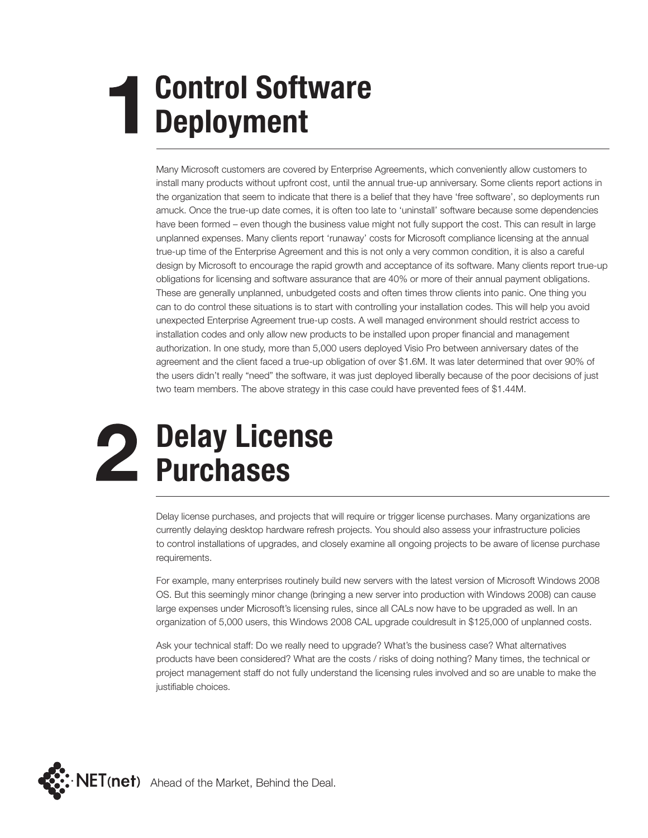# **Control Software Deployment**

Many Microsoft customers are covered by Enterprise Agreements, which conveniently allow customers to install many products without upfront cost, until the annual true-up anniversary. Some clients report actions in the organization that seem to indicate that there is a belief that they have 'free software', so deployments run amuck. Once the true-up date comes, it is often too late to 'uninstall' software because some dependencies have been formed – even though the business value might not fully support the cost. This can result in large unplanned expenses. Many clients report 'runaway' costs for Microsoft compliance licensing at the annual true-up time of the Enterprise Agreement and this is not only a very common condition, it is also a careful design by Microsoft to encourage the rapid growth and acceptance of its software. Many clients report true-up obligations for licensing and software assurance that are 40% or more of their annual payment obligations. These are generally unplanned, unbudgeted costs and often times throw clients into panic. One thing you can to do control these situations is to start with controlling your installation codes. This will help you avoid unexpected Enterprise Agreement true-up costs. A well managed environment should restrict access to installation codes and only allow new products to be installed upon proper financial and management authorization. In one study, more than 5,000 users deployed Visio Pro between anniversary dates of the agreement and the client faced a true-up obligation of over \$1.6M. It was later determined that over 90% of the users didn't really "need" the software, it was just deployed liberally because of the poor decisions of just two team members. The above strategy in this case could have prevented fees of \$1.44M.

#### **Delay License Purchases**

Delay license purchases, and projects that will require or trigger license purchases. Many organizations are currently delaying desktop hardware refresh projects. You should also assess your infrastructure policies to control installations of upgrades, and closely examine all ongoing projects to be aware of license purchase requirements.

For example, many enterprises routinely build new servers with the latest version of Microsoft Windows 2008 OS. But this seemingly minor change (bringing a new server into production with Windows 2008) can cause large expenses under Microsoft's licensing rules, since all CALs now have to be upgraded as well. In an organization of 5,000 users, this Windows 2008 CAL upgrade couldresult in \$125,000 of unplanned costs.

Ask your technical staff: Do we really need to upgrade? What's the business case? What alternatives products have been considered? What are the costs / risks of doing nothing? Many times, the technical or project management staff do not fully understand the licensing rules involved and so are unable to make the justifiable choices.

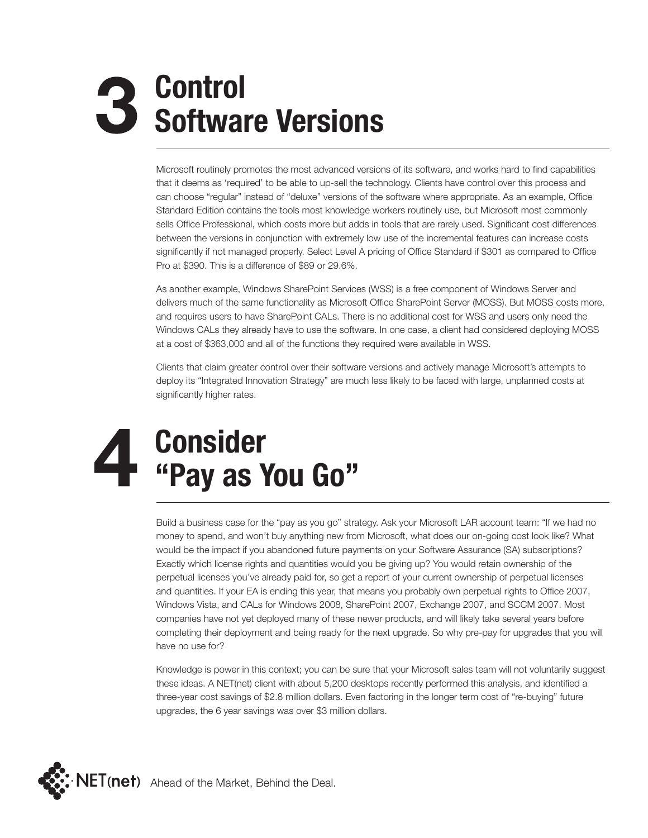## **Control Software Versions**

Microsoft routinely promotes the most advanced versions of its software, and works hard to find capabilities that it deems as 'required' to be able to up-sell the technology. Clients have control over this process and can choose "regular" instead of "deluxe" versions of the software where appropriate. As an example, Office Standard Edition contains the tools most knowledge workers routinely use, but Microsoft most commonly sells Office Professional, which costs more but adds in tools that are rarely used. Significant cost differences between the versions in conjunction with extremely low use of the incremental features can increase costs significantly if not managed properly. Select Level A pricing of Office Standard if \$301 as compared to Office Pro at \$390. This is a difference of \$89 or 29.6%.

As another example, Windows SharePoint Services (WSS) is a free component of Windows Server and delivers much of the same functionality as Microsoft Office SharePoint Server (MOSS). But MOSS costs more, and requires users to have SharePoint CALs. There is no additional cost for WSS and users only need the Windows CALs they already have to use the software. In one case, a client had considered deploying MOSS at a cost of \$363,000 and all of the functions they required were available in WSS.

Clients that claim greater control over their software versions and actively manage Microsoft's attempts to deploy its "Integrated Innovation Strategy" are much less likely to be faced with large, unplanned costs at significantly higher rates.

## **Consider "Pay as You Go"**

Build a business case for the "pay as you go" strategy. Ask your Microsoft LAR account team: "If we had no money to spend, and won't buy anything new from Microsoft, what does our on-going cost look like? What would be the impact if you abandoned future payments on your Software Assurance (SA) subscriptions? Exactly which license rights and quantities would you be giving up? You would retain ownership of the perpetual licenses you've already paid for, so get a report of your current ownership of perpetual licenses and quantities. If your EA is ending this year, that means you probably own perpetual rights to Office 2007, Windows Vista, and CALs for Windows 2008, SharePoint 2007, Exchange 2007, and SCCM 2007. Most companies have not yet deployed many of these newer products, and will likely take several years before completing their deployment and being ready for the next upgrade. So why pre-pay for upgrades that you will have no use for?

Knowledge is power in this context; you can be sure that your Microsoft sales team will not voluntarily suggest these ideas. A NET(net) client with about 5,200 desktops recently performed this analysis, and identified a three-year cost savings of \$2.8 million dollars. Even factoring in the longer term cost of "re-buying" future upgrades, the 6 year savings was over \$3 million dollars.